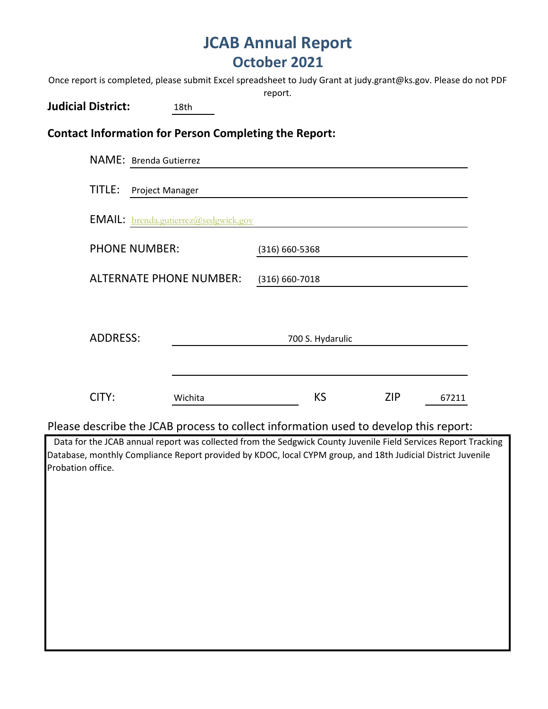# **JCAB Annual Report October 2021**

Once report is completed, please submit Excel spreadsheet to Judy Grant at judy.grant@ks.gov. Please do not PDF report.

## **Judicial District:** 18th

### **Contact Information for Person Completing the Report:**

| NAME: Brenda Gutierrez                      |                    |            |       |
|---------------------------------------------|--------------------|------------|-------|
| TITLE:<br>Project Manager                   |                    |            |       |
| <b>EMAIL:</b> brenda.gutierrez@sedgwick.gov |                    |            |       |
| <b>PHONE NUMBER:</b>                        | (316) 660-5368     |            |       |
| <b>ALTERNATE PHONE NUMBER:</b>              | $(316) 660 - 7018$ |            |       |
|                                             |                    |            |       |
| <b>ADDRESS:</b>                             | 700 S. Hydarulic   |            |       |
|                                             |                    |            |       |
| CITY:<br>Wichita                            | <b>KS</b>          | <b>ZIP</b> | 67211 |

### Please describe the JCAB process to collect information used to develop this report:

 Data for the JCAB annual report was collected from the Sedgwick County Juvenile Field Services Report Tracking Database, monthly Compliance Report provided by KDOC, local CYPM group, and 18th Judicial District Juvenile Probation office.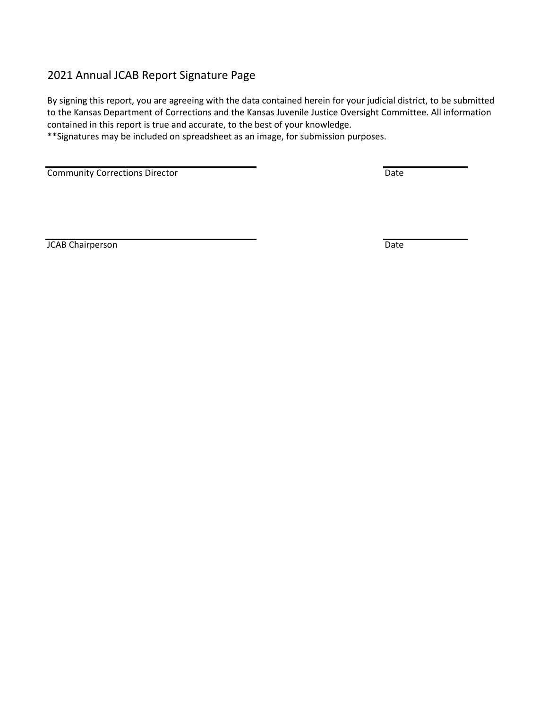### 2021 Annual JCAB Report Signature Page

By signing this report, you are agreeing with the data contained herein for your judicial district, to be submitted to the Kansas Department of Corrections and the Kansas Juvenile Justice Oversight Committee. All information contained in this report is true and accurate, to the best of your knowledge.

\*\*Signatures may be included on spreadsheet as an image, for submission purposes.

**Community Corrections Director Community Corrections Director** Date

**JCAB Chairperson** Date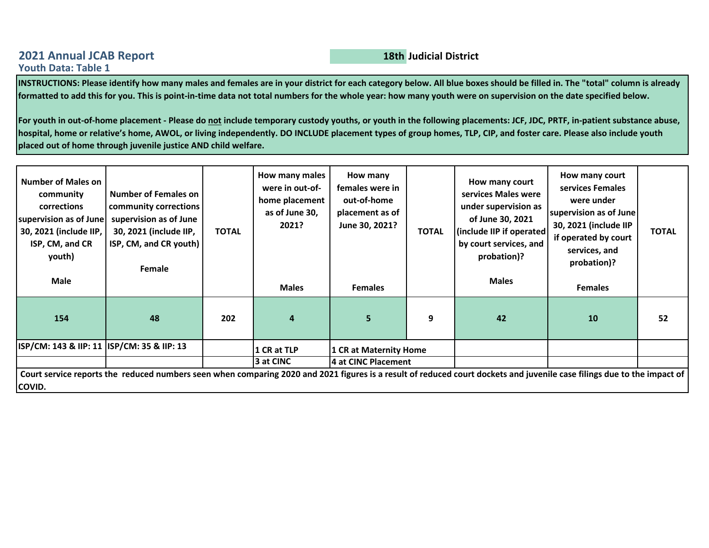### **2021 Annual JCAB Report 18th Judicial District Youth Data: Table 1**

**INSTRUCTIONS: Please identify how many males and females are in your district for each category below. All blue boxes should be filled in. The "total" column is already formatted to add this for you. This is point-in-time data not total numbers for the whole year: how many youth were on supervision on the date specified below.** 

**For youth in out-of-home placement - Please do not include temporary custody youths, or youth in the following placements: JCF, JDC, PRTF, in-patient substance abuse, hospital, home or relative's home, AWOL, or living independently. DO INCLUDE placement types of group homes, TLP, CIP, and foster care. Please also include youth placed out of home through juvenile justice AND child welfare.**

| <b>Number of Males on</b><br>community<br>corrections<br>supervision as of June<br>30, 2021 (include IIP,<br>ISP, CM, and CR<br>youth)<br>Male | <b>Number of Females on</b><br>community corrections<br>supervision as of June<br>30, 2021 (include IIP,<br>ISP, CM, and CR youth)<br>Female                            | <b>TOTAL</b> | How many males<br>were in out-of-<br>home placement<br>as of June 30,<br>2021?<br><b>Males</b> | How many<br>females were in<br>out-of-home<br>placement as of<br>June 30, 2021?<br><b>Females</b> | <b>TOTAL</b> | How many court<br>services Males were<br>under supervision as<br>of June 30, 2021<br>(include IIP if operated<br>by court services, and<br>probation)?<br><b>Males</b> | How many court<br>services Females<br>were under<br>supervision as of June<br>30, 2021 (include IIP<br>if operated by court<br>services, and<br>probation)?<br><b>Females</b> | <b>TOTAL</b> |
|------------------------------------------------------------------------------------------------------------------------------------------------|-------------------------------------------------------------------------------------------------------------------------------------------------------------------------|--------------|------------------------------------------------------------------------------------------------|---------------------------------------------------------------------------------------------------|--------------|------------------------------------------------------------------------------------------------------------------------------------------------------------------------|-------------------------------------------------------------------------------------------------------------------------------------------------------------------------------|--------------|
| 154                                                                                                                                            | 48                                                                                                                                                                      | 202          | $\overline{a}$                                                                                 | 5                                                                                                 | 9            | 42                                                                                                                                                                     | <b>10</b>                                                                                                                                                                     | 52           |
| ISP/CM: 143 & IIP: 11  ISP/CM: 35 & IIP: 13                                                                                                    |                                                                                                                                                                         |              | 1 CR at TLP                                                                                    | 1 CR at Maternity Home                                                                            |              |                                                                                                                                                                        |                                                                                                                                                                               |              |
|                                                                                                                                                |                                                                                                                                                                         |              | 3 at CINC                                                                                      | 4 at CINC Placement                                                                               |              |                                                                                                                                                                        |                                                                                                                                                                               |              |
| COVID.                                                                                                                                         | Court service reports the reduced numbers seen when comparing 2020 and 2021 figures is a result of reduced court dockets and juvenile case filings due to the impact of |              |                                                                                                |                                                                                                   |              |                                                                                                                                                                        |                                                                                                                                                                               |              |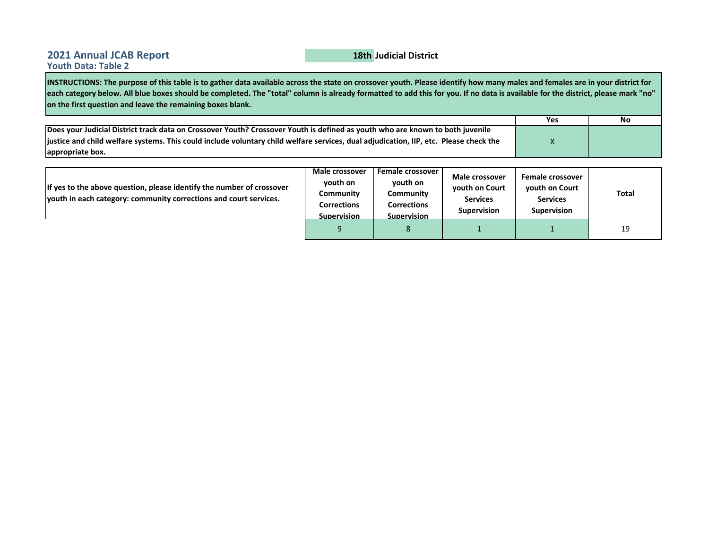### **2021 Annual JCAB Report 18th Judicial District Youth Data: Table 2**

**INSTRUCTIONS: The purpose of this table is to gather data available across the state on crossover youth. Please identify how many males and females are in your district for each category below. All blue boxes should be completed. The "total" column is already formatted to add this for you. If no data is available for the district, please mark "no" on the first question and leave the remaining boxes blank.** 

|                                                                                                                                       | Yes | No |
|---------------------------------------------------------------------------------------------------------------------------------------|-----|----|
| Does your Judicial District track data on Crossover Youth? Crossover Youth is defined as youth who are known to both juvenile         |     |    |
| justice and child welfare systems. This could include voluntary child welfare services, dual adjudication, IIP, etc. Please check the |     |    |
| appropriate box.                                                                                                                      |     |    |

| If yes to the above question, please identify the number of crossover<br>vouth in each category: community corrections and court services. | Male crossover<br>youth on<br>Community<br><b>Corrections</b><br><b>Supervision</b> | <b>Female crossover I</b><br>youth on<br>Community<br><b>Corrections</b><br><b>Supervision</b> | Male crossover<br>youth on Court<br><b>Services</b><br><b>Supervision</b> | <b>Female crossover</b><br>vouth on Court<br><b>Services</b><br>Supervision | <b>Total</b> |
|--------------------------------------------------------------------------------------------------------------------------------------------|-------------------------------------------------------------------------------------|------------------------------------------------------------------------------------------------|---------------------------------------------------------------------------|-----------------------------------------------------------------------------|--------------|
|                                                                                                                                            |                                                                                     |                                                                                                |                                                                           |                                                                             | 19           |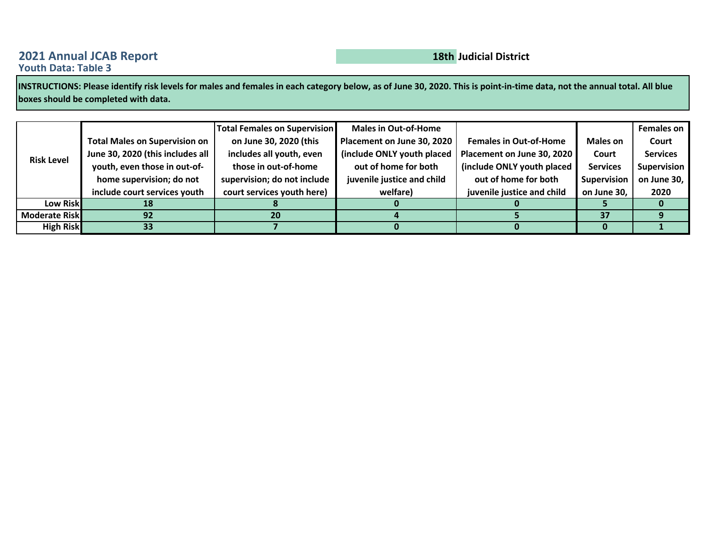### **2021 Annual JCAB Report 18th Judicial District Youth Data: Table 3**

**INSTRUCTIONS: Please identify risk levels for males and females in each category below, as of June 30, 2020. This is point-in-time data, not the annual total. All blue boxes should be completed with data.**

|                   |                                      | <b>Total Females on Supervision</b> | <b>Males in Out-of-Home</b> |                               |                 | <b>Females on</b>  |
|-------------------|--------------------------------------|-------------------------------------|-----------------------------|-------------------------------|-----------------|--------------------|
|                   | <b>Total Males on Supervision on</b> | on June 30, 2020 (this              | Placement on June 30, 2020  | <b>Females in Out-of-Home</b> | <b>Males on</b> | Court              |
| <b>Risk Level</b> | June 30, 2020 (this includes all     | includes all youth, even            | (include ONLY youth placed  | Placement on June 30, 2020    | Court           | <b>Services</b>    |
|                   | youth, even those in out-of-         | those in out-of-home                | out of home for both        | (include ONLY youth placed    | <b>Services</b> | <b>Supervision</b> |
|                   | home supervision; do not             | supervision; do not include         | juvenile justice and child  | out of home for both          | Supervision     | on June 30,        |
|                   | include court services youth         | court services youth here)          | welfare)                    | juvenile justice and child    | on June 30,     | 2020               |
| Low Risk          | 18                                   |                                     |                             |                               |                 |                    |
| Moderate Risk     | 92                                   | 20                                  |                             |                               | 37              |                    |
| <b>High Risk</b>  | 33                                   |                                     |                             |                               |                 |                    |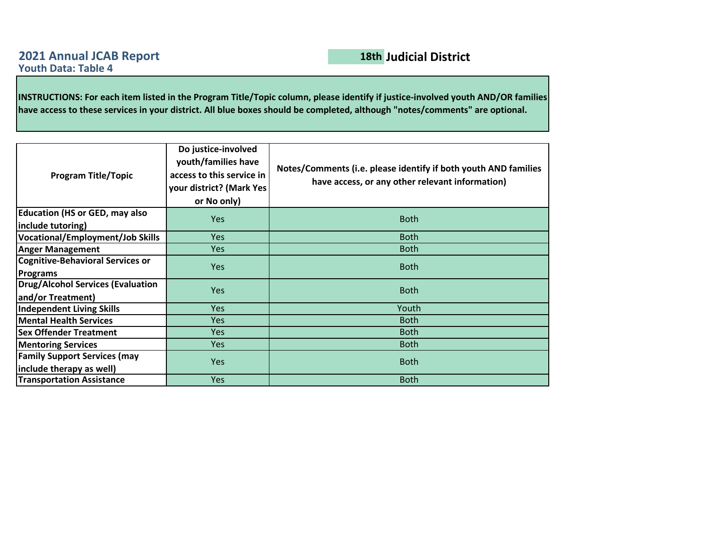**INSTRUCTIONS: For each item listed in the Program Title/Topic column, please identify if justice-involved youth AND/OR families have access to these services in your district. All blue boxes should be completed, although "notes/comments" are optional.**

| <b>Program Title/Topic</b>                                      | Do justice-involved<br>youth/families have<br>access to this service in<br>your district? (Mark Yes<br>or No only) | Notes/Comments (i.e. please identify if both youth AND families<br>have access, or any other relevant information) |
|-----------------------------------------------------------------|--------------------------------------------------------------------------------------------------------------------|--------------------------------------------------------------------------------------------------------------------|
| <b>Education (HS or GED, may also</b>                           | Yes                                                                                                                | <b>Both</b>                                                                                                        |
| include tutoring)                                               |                                                                                                                    |                                                                                                                    |
| <b>Vocational/Employment/Job Skills</b>                         | Yes                                                                                                                | <b>Both</b>                                                                                                        |
| <b>Anger Management</b>                                         | Yes                                                                                                                | <b>Both</b>                                                                                                        |
| <b>Cognitive-Behavioral Services or</b><br><b>Programs</b>      | Yes                                                                                                                | <b>Both</b>                                                                                                        |
| <b>Drug/Alcohol Services (Evaluation</b><br>and/or Treatment)   | <b>Yes</b>                                                                                                         | <b>Both</b>                                                                                                        |
| <b>Independent Living Skills</b>                                | Yes                                                                                                                | Youth                                                                                                              |
| <b>Mental Health Services</b>                                   | Yes                                                                                                                | <b>Both</b>                                                                                                        |
| <b>Sex Offender Treatment</b>                                   | Yes                                                                                                                | <b>Both</b>                                                                                                        |
| <b>Mentoring Services</b>                                       | Yes                                                                                                                | <b>Both</b>                                                                                                        |
| <b>Family Support Services (may</b><br>include therapy as well) | Yes                                                                                                                | <b>Both</b>                                                                                                        |
| <b>Transportation Assistance</b>                                | Yes                                                                                                                | <b>Both</b>                                                                                                        |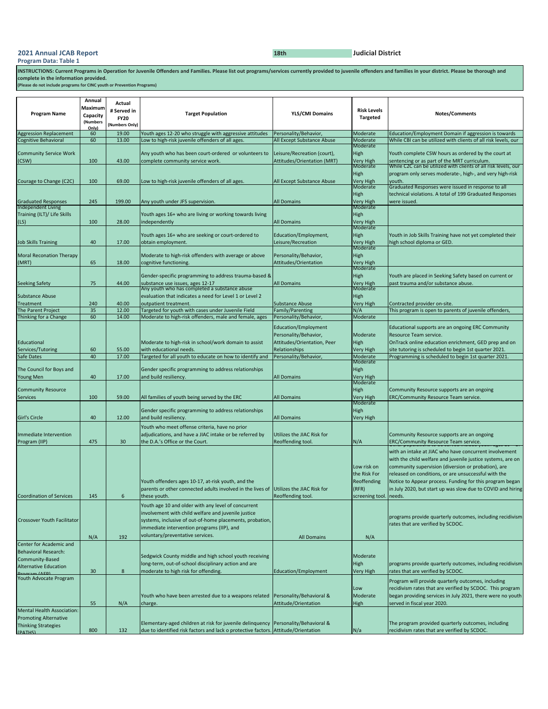### **2021 Annual JCAB Report 18th Judicial District**

### **Program Data: Table 1**

**INSTRUCTIONS: Current Programs in Operation for Juvenile Offenders and Families. Please list out programs/services currently provided to juvenile offenders and families in your district. Please be thorough and complete in the information provided. (Please do not include programs for CINC youth or Prevention Programs)**

| <b>Program Name</b>                                                                                                | Annual<br>Maximum<br>Capacity<br>(Numbers<br>Only) | Actual<br># Served in<br><b>FY20</b><br>(Numbers Only) | <b>Target Population</b>                                                                                                                                                                                                                                 | <b>YLS/CMI Domains</b>                                                                        | <b>Risk Levels</b><br><b>Targeted</b>                                         | Notes/Comments                                                                                                                                                                                                                                                                                                                                                  |
|--------------------------------------------------------------------------------------------------------------------|----------------------------------------------------|--------------------------------------------------------|----------------------------------------------------------------------------------------------------------------------------------------------------------------------------------------------------------------------------------------------------------|-----------------------------------------------------------------------------------------------|-------------------------------------------------------------------------------|-----------------------------------------------------------------------------------------------------------------------------------------------------------------------------------------------------------------------------------------------------------------------------------------------------------------------------------------------------------------|
| <b>Aggression Replacement</b>                                                                                      | 60                                                 | 19.00                                                  | Youth ages 12-20 who struggle with aggressive attitudes                                                                                                                                                                                                  | Personality/Behavior,                                                                         | Moderate                                                                      | Education/Employment Domain if aggression is towards                                                                                                                                                                                                                                                                                                            |
| Cognitive Behavioral                                                                                               | 60                                                 | 13.00                                                  | Low to high-risk juvenile offenders of all ages.                                                                                                                                                                                                         | All Except Substance Abuse                                                                    | Moderate<br>Moderate                                                          | While CBI can be utilized with clients of all risk levels, our                                                                                                                                                                                                                                                                                                  |
| <b>Community Service Work</b><br>(CSW)                                                                             | 100                                                | 43.00                                                  | Any youth who has been court-ordered or volunteers to<br>complete community service work.                                                                                                                                                                | Leisure/Recreation (court),<br>Attitudes/Orientation (MRT)                                    | High<br>Very High<br>Moderate                                                 | Youth complete CSW hours as ordered by the court at<br>sentencing or as part of the MRT curriculum.<br>While C2C can be utilized with clients of all risk levels, our                                                                                                                                                                                           |
| Courage to Change (C2C)                                                                                            | 100                                                | 69.00                                                  | Low to high-risk juvenile offenders of all ages.                                                                                                                                                                                                         | All Except Substance Abuse                                                                    | High<br><b>Very High</b><br>Moderate                                          | program only serves moderate-, high-, and very high-risk<br>vouth.<br>Graduated Responses were issued in response to all                                                                                                                                                                                                                                        |
| <b>Graduated Responses</b><br><b>Independent Living</b>                                                            | 245                                                | 199.00                                                 | Any youth under JFS supervision.                                                                                                                                                                                                                         | <b>All Domains</b>                                                                            | High<br>Very High                                                             | technical violations. A total of 199 Graduated Responses<br>were issued.                                                                                                                                                                                                                                                                                        |
| Training (ILT)/ Life Skills<br>(LS)                                                                                | 100                                                | 28.00                                                  | Youth ages 16+ who are living or working towards living<br>independently                                                                                                                                                                                 | <b>All Domains</b>                                                                            | Moderate<br>High<br>Very High                                                 |                                                                                                                                                                                                                                                                                                                                                                 |
| <b>Job Skills Training</b>                                                                                         | 40                                                 | 17.00                                                  | Youth ages 16+ who are seeking or court-ordered to<br>obtain employment.                                                                                                                                                                                 | Education/Employment,<br>Leisure/Recreation                                                   | Moderate<br>High<br>Very High                                                 | Youth in Job Skills Training have not yet completed their<br>high school diploma or GED.                                                                                                                                                                                                                                                                        |
| <b>Moral Reconation Therapy</b><br>(MRT)                                                                           | 65                                                 | 18.00                                                  | Moderate to high-risk offenders with average or above<br>cognitive functioning.                                                                                                                                                                          | Personality/Behavior,<br>Attitudes/Orientation                                                | Moderate<br>High<br>Very High<br>Moderate                                     |                                                                                                                                                                                                                                                                                                                                                                 |
| <b>Seeking Safety</b>                                                                                              | 75                                                 | 44.00                                                  | Gender-specific programming to address trauma-based &<br>substance use issues, ages 12-17<br>Any youth who has completed a substance abuse                                                                                                               | <b>All Domains</b>                                                                            | High<br>Very High<br>Moderate                                                 | Youth are placed in Seeking Safety based on current or<br>past trauma and/or substance abuse.                                                                                                                                                                                                                                                                   |
| <b>Substance Abuse</b><br>Treatment                                                                                | 240                                                | 40.00                                                  | evaluation that indicates a need for Level 1 or Level 2<br>outpatient treatment.                                                                                                                                                                         | <b>Substance Abuse</b>                                                                        | High<br>Very High                                                             | Contracted provider on-site.                                                                                                                                                                                                                                                                                                                                    |
| The Parent Project                                                                                                 | 35                                                 | 12.00                                                  | Targeted for youth with cases under Juvenile Field                                                                                                                                                                                                       | Family/Parenting                                                                              | N/A                                                                           | This program is open to parents of juvenile offenders,                                                                                                                                                                                                                                                                                                          |
| Thinking for a Change                                                                                              | 60                                                 | 14.00                                                  | Moderate to high-risk offenders, male and female, ages                                                                                                                                                                                                   | Personality/Behavior,                                                                         | Moderate                                                                      |                                                                                                                                                                                                                                                                                                                                                                 |
| Educational<br>Services/Tutoring                                                                                   | 60                                                 | 55.00                                                  | Moderate to high-risk in school/work domain to assist<br>with educational needs.                                                                                                                                                                         | Education/Employment<br>Personality/Behavior,<br>Attitudes/Orientation, Peer<br>Relationships | Moderate<br>High<br><b>Very High</b>                                          | Educational supports are an ongoing ERC Community<br>Resource Team service.<br>OnTrack online education enrichment, GED prep and on<br>site tutoring is scheduled to begin 1st quarter 2021                                                                                                                                                                     |
| Safe Dates                                                                                                         | 40                                                 | 17.00                                                  | Targeted for all youth to educate on how to identify and                                                                                                                                                                                                 | Personality/Behavior,                                                                         | Moderate<br>Moderate                                                          | Programming is scheduled to begin 1st quarter 2021                                                                                                                                                                                                                                                                                                              |
| The Council for Boys and<br>Young Men                                                                              | 40                                                 | 17.00                                                  | Gender specific programming to address relationships<br>and build resiliency.                                                                                                                                                                            | <b>All Domains</b>                                                                            | High<br><b>Very High</b><br>Moderate                                          |                                                                                                                                                                                                                                                                                                                                                                 |
| <b>Community Resource</b><br><b>Services</b>                                                                       | 100                                                | 59.00                                                  | All families of youth being served by the ERC                                                                                                                                                                                                            | <b>All Domains</b>                                                                            | High<br>Very High<br>Moderate                                                 | Community Resource supports are an ongoing<br>ERC/Community Resource Team service.                                                                                                                                                                                                                                                                              |
| Girl's Circle                                                                                                      | 40                                                 | 12.00                                                  | Gender specific programming to address relationships<br>and build resiliency.                                                                                                                                                                            | <b>All Domains</b>                                                                            | High<br>Very High                                                             |                                                                                                                                                                                                                                                                                                                                                                 |
| Immediate Intervention<br>Program (IIP)                                                                            | 475                                                | 30                                                     | Youth who meet offense criteria, have no prior<br>adjudications, and have a JIAC intake or be referred by<br>the D.A.'s Office or the Court.                                                                                                             | Utilizes the JIAC Risk for<br>Reoffending tool.                                               | N/A                                                                           | Community Resource supports are an ongoing<br>ERC/Community Resource Team service.                                                                                                                                                                                                                                                                              |
| <b>Coordination of Services</b>                                                                                    | 145                                                | 6                                                      | Youth offenders ages 10-17, at-risk youth, and the<br>parents or other connected adults involved in the lives of Utilizes the JIAC Risk for<br>these youth                                                                                               | Reoffending tool.                                                                             | Low risk on<br>the Risk For<br>Reoffending<br>(RFR)<br>screening tool. needs. | with an intake at JIAC who have concurrent involvement<br>with the child welfare and juvenile justice systems, are on<br>community supervision (diversion or probation), are<br>released on conditions, or are unsuccessful with the<br>Notice to Appear process. Funding for this program began<br>in July 2020, but start up was slow due to COVID and hiring |
| <b>Crossover Youth Facilitator</b>                                                                                 | N/A                                                | 192                                                    | Youth age 10 and older with any level of concurrent<br>involvement with child welfare and juvenile justice<br>systems, inclusive of out-of-home placements, probation,<br>immediate intervention programs (IIP), and<br>voluntary/preventative services. | <b>All Domains</b>                                                                            | N/A                                                                           | programs provide quarterly outcomes, including recidivism<br>rates that are verified by SCDOC.                                                                                                                                                                                                                                                                  |
| Center for Academic and<br><b>Behavioral Research:</b><br>Community-Based<br><b>Alternative Education</b><br>(AED) | 30                                                 | 8                                                      | Sedgwick County middle and high school youth receiving<br>long-term, out-of-school disciplinary action and are<br>moderate to high risk for offending.                                                                                                   | Education/Employment                                                                          | Moderate<br>High<br><b>Very High</b>                                          | programs provide quarterly outcomes, including recidivism<br>rates that are verified by SCDOC.                                                                                                                                                                                                                                                                  |
| Youth Advocate Program                                                                                             | 55                                                 | N/A                                                    | Youth who have been arrested due to a weapons related<br>charge.                                                                                                                                                                                         | Personality/Behavioral &<br>Attitude/Orientation                                              | Low<br>Moderate<br>High                                                       | Program will provide quarterly outcomes, including<br>recidivism rates that are verified by SCDOC. This program<br>began providing services in July 2021, there were no youth<br>served in fiscal year 2020.                                                                                                                                                    |
| Mental Health Association:<br><b>Promoting Alternative</b><br><b>Thinking Strategies</b><br>(DATHCl)               | 800                                                | 132                                                    | Elementary-aged children at risk for juvenile delinquency Personality/Behavioral &<br>due to identified risk factors and lack o protective factors. Attitude/Orientation                                                                                 |                                                                                               | N/a                                                                           | The program provided quarterly outcomes, including<br>recidivism rates that are verified by SCDOC.                                                                                                                                                                                                                                                              |
|                                                                                                                    |                                                    |                                                        |                                                                                                                                                                                                                                                          |                                                                                               |                                                                               |                                                                                                                                                                                                                                                                                                                                                                 |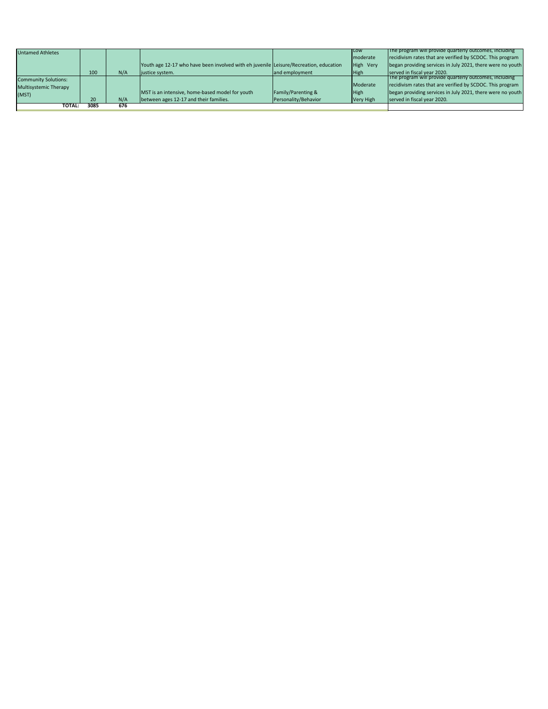| <b>Untamed Athletes</b>     |      |     |                                                                                       |                      | <b>ILOW</b> | The program will provide quarterly outcomes, including     |
|-----------------------------|------|-----|---------------------------------------------------------------------------------------|----------------------|-------------|------------------------------------------------------------|
|                             |      |     |                                                                                       |                      | Imoderate   | recidivism rates that are verified by SCDOC. This program  |
|                             |      |     | Youth age 12-17 who have been involved with eh juvenile Leisure/Recreation, education |                      | High Very   | began providing services in July 2021, there were no youth |
|                             | 100  | N/A | justice system.                                                                       | and employment       | High        | served in fiscal year 2020.                                |
| <b>Community Solutions:</b> |      |     |                                                                                       |                      |             | The program will provide quarterly outcomes, including     |
| Multisystemic Therapy       |      |     |                                                                                       |                      | Moderate    | recidivism rates that are verified by SCDOC. This program  |
| (MST)                       |      |     | MST is an intensive, home-based model for youth                                       | Family/Parenting &   | High        | began providing services in July 2021, there were no youth |
|                             | 20   | N/A | between ages 12-17 and their families.                                                | Personality/Behavior | Very High   | served in fiscal year 2020.                                |
| <b>TOTAL:</b>               | 3085 | 676 |                                                                                       |                      |             |                                                            |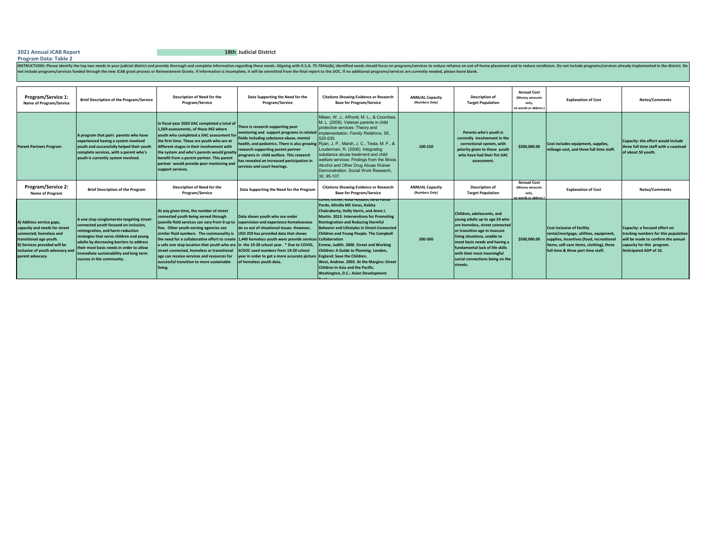2021 Annual JCAB Report<br>Program Data: Table 2<br>INSTRUCTIONS: Please identify the top two needs in your judicial district and provide thorough and complete information regarding these needs. Aligning with K.S.A. 75-7044a(b),

| Program/Service 1:<br>Name of Program/Service                                                                                                                                                               | <b>Brief Description of the Program/Service</b>                                                                                                                                                                                                                                                                                    | Description of Need for the<br>Program/Service                                                                                                                                                                                                                                                                                                                                                                                                                                                                        | Data Supporting the Need for the<br>Program/Service                                                                                                                                                                                                                                                                                                                                                                          | <b>Citations Showing Evidence or Research</b><br><b>Base for Program/Service</b>                                                                                                                                                                                                                                                                                                                                                                                                                                                | <b>ANNUAL Capacity</b><br>(Numbers Only) | <b>Description of</b><br><b>Target Population</b>                                                                                                                                                                                                                                                               | <b>Annual Cost</b><br>(Money amounts<br>only.<br>no words or abbrev.) | <b>Explanation of Cost</b>                                                                                                                                                                                | Notes/Comments                                                                                                                                                     |
|-------------------------------------------------------------------------------------------------------------------------------------------------------------------------------------------------------------|------------------------------------------------------------------------------------------------------------------------------------------------------------------------------------------------------------------------------------------------------------------------------------------------------------------------------------|-----------------------------------------------------------------------------------------------------------------------------------------------------------------------------------------------------------------------------------------------------------------------------------------------------------------------------------------------------------------------------------------------------------------------------------------------------------------------------------------------------------------------|------------------------------------------------------------------------------------------------------------------------------------------------------------------------------------------------------------------------------------------------------------------------------------------------------------------------------------------------------------------------------------------------------------------------------|---------------------------------------------------------------------------------------------------------------------------------------------------------------------------------------------------------------------------------------------------------------------------------------------------------------------------------------------------------------------------------------------------------------------------------------------------------------------------------------------------------------------------------|------------------------------------------|-----------------------------------------------------------------------------------------------------------------------------------------------------------------------------------------------------------------------------------------------------------------------------------------------------------------|-----------------------------------------------------------------------|-----------------------------------------------------------------------------------------------------------------------------------------------------------------------------------------------------------|--------------------------------------------------------------------------------------------------------------------------------------------------------------------|
| <b>Parent Partners Program</b>                                                                                                                                                                              | A program that pairs parents who have<br>experienced having a system involved<br>youth and successfully helped their youth<br>complete services, with a parent who's<br>youth is currently system involved.                                                                                                                        | In fiscal year 2020 JIAC completed a total of<br>1.569 assessments, of these 942 where<br>youth who completed a JIAC assessment for<br>the first time. These are youth who are at<br>different stages in their involvement with<br>the system and who's parents would greatly<br>benefit from a parent partner. This parent<br>partner would provide peer mentoring and<br>support services.                                                                                                                          | There is research supporting peer<br>mentoring and support programs in related implementation. Family Relations, 58,<br>fields including substance abuse, mental<br>health, and pediatrics. There is also growing Ryan, J. P., Marsh, J. C., Testa, M. F., &<br>research supporting parent partner<br>programs in child welfare. This research<br>has revealed an increased participation in<br>services and court hearings. | Nilsen, W. J., Affronti, M. L., & Coombes.<br>M. L. (2009). Veteran parents in child<br>protective services: Theory and<br>520-535.<br>Louderman, R. (2006). Integrating<br>substance abuse treatment and child<br>welfare services: Findings from the Illinois<br>Alcohol and Other Drug Abuse Waiver<br>Demonstration, Social Work Research.<br>30, 95-107.                                                                                                                                                                   | 100-150                                  | Parents who's youth is<br>currently involvement in the<br>correctional system, with<br>priority given to those youth<br>who have had their fist JIAC<br>assessment.                                                                                                                                             | \$200,000.00                                                          | Cost includes equipment, supplies,<br>mileage cost, and three full time staff.                                                                                                                            | Capacity: the effort would include<br>three full time staff with a caseload<br>of about 50 youth.                                                                  |
| Program/Service 2:<br>Name of Program                                                                                                                                                                       | <b>Brief Description of the Program</b>                                                                                                                                                                                                                                                                                            | <b>Description of Need for the</b><br>Program/Service                                                                                                                                                                                                                                                                                                                                                                                                                                                                 | Data Supporting the Need for the Program                                                                                                                                                                                                                                                                                                                                                                                     | <b>Citations Showing Evidence or Research</b><br><b>Base for Program/Service</b>                                                                                                                                                                                                                                                                                                                                                                                                                                                | <b>ANNUAL Capacity</b><br>(Numbers Only) | <b>Description of</b><br><b>Target Population</b>                                                                                                                                                                                                                                                               | <b>Annual Cost</b><br>(Money amounts<br>only,<br>rds or abbr          | <b>Explanation of Cost</b>                                                                                                                                                                                | Notes/Comments                                                                                                                                                     |
| A) Address service gaps,<br>capacity and needs for street<br>connected, homeless and<br>transitional age youth.<br><b>B) Services provided will be</b><br>inclusive of youth advocacy ar<br>parent advocacy | A one stop conglomerate targeting street-<br>connected youth focused on inclusion,<br>reintegration, and harm-reduction<br>strategies that serve children and young<br>adults by decreasing barriers to address<br>their most basic needs in order to allow<br>immediate sustainability and long term<br>success in the community. | At any given time, the number of street<br>connected youth being served through<br>juvenile field services can vary from 0 up to<br>five. Other youth-serving agencies see<br>similar fluid numbers. The commonality is<br>the need for a collaborative effort to create<br>a safe one stop location that youth who are in the 19-20 school year. * Due to COVID,<br>street connected, homeless or transitional<br>age can receive services and resources for<br>successful transition to more sustainable<br>living. | Data shows youth who are under<br>supervision and experience homelessness<br>do so out of situational issues. However,<br>USD 259 has provided data that shows<br>1,440 homeless youth were provide services Collaboration<br>SCDOC used numbers from 19-20 school<br>year in order to get a more accurate picture England: Save the Children.<br>of homeless youth data.                                                    | coren, estner, Rosa Hossain, Jordi Pardo<br>Pardo, Mirella MS Veras, Kabita<br>Chakraborty, Holly Harris, and Anne J.<br>Martin. 2013. Interventions for Promoting<br><b>Reintegration and Reducing Harmful</b><br><b>Behavior and Lifestyles in Street-Connected</b><br>Children and Young People. The Campbell<br>Ennew, Judith. 2000. Street and Working<br>Children: A Guide to Planning. London,<br>West, Andrew. 2003. At the Margins: Street<br>Children in Asia and the Pacific.<br>Washington, D.C.: Asian Development | 200-300                                  | Children, adolescents, and<br>young adults up to age 24 who<br>are homeless, street connected<br>or transition age in insecure<br>living situations, unable to<br>meet basic needs and having a<br>fundamental lack of life skills<br>with their most meaningful<br>social connections being on the<br>streets. | \$500,000.00                                                          | <b>Cost inclusive of facility</b><br>rental/mortgage, utilities, equipment,<br>supplies, incentives (food, recreational<br>items, self-care items, clothing), three<br>full time & three part time staff. | Capacity: a focused effort on<br>racking numbers for this population<br>will be made to confirm the annual<br>capacity for this program.<br>Anticipated ADP of 10. |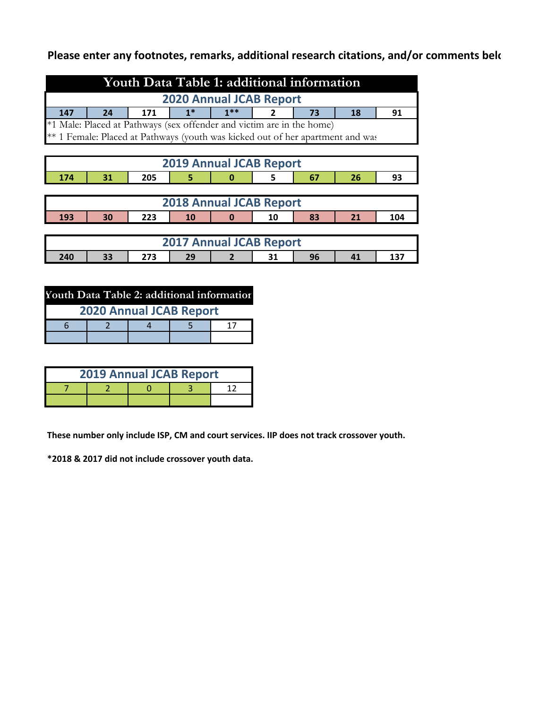## Please enter any footnotes, remarks, additional research citations, and/or comments belo

|                                | Youth Data Table 1: additional information |                                                                                |                                |        |    |    |    |     |
|--------------------------------|--------------------------------------------|--------------------------------------------------------------------------------|--------------------------------|--------|----|----|----|-----|
|                                |                                            |                                                                                | <b>2020 Annual JCAB Report</b> |        |    |    |    |     |
| 147                            | 24                                         | 171                                                                            | $1*$                           | $1***$ |    | 73 | 18 | 91  |
|                                |                                            | *1 Male: Placed at Pathways (sex offender and victim are in the home)          |                                |        |    |    |    |     |
|                                |                                            | ** 1 Female: Placed at Pathways (youth was kicked out of her apartment and was |                                |        |    |    |    |     |
|                                |                                            |                                                                                |                                |        |    |    |    |     |
|                                |                                            |                                                                                | <b>2019 Annual JCAB Report</b> |        |    |    |    |     |
| 174                            | 31                                         | 205                                                                            | 5                              | Ω      | 5  | 67 | 26 | 93  |
|                                |                                            |                                                                                |                                |        |    |    |    |     |
|                                |                                            |                                                                                | <b>2018 Annual JCAB Report</b> |        |    |    |    |     |
| 193                            | 30                                         | 223                                                                            | 10                             | n      | 10 | 83 | 21 | 104 |
|                                |                                            |                                                                                |                                |        |    |    |    |     |
| <b>2017 Annual JCAB Report</b> |                                            |                                                                                |                                |        |    |    |    |     |
| 240                            | 33                                         | 273                                                                            | 29                             |        | 31 | 96 | 41 | 137 |

| Youth Data Table 2: additional information |  |  |  |  |  |  |
|--------------------------------------------|--|--|--|--|--|--|
| <b>2020 Annual JCAB Report</b>             |  |  |  |  |  |  |
|                                            |  |  |  |  |  |  |
|                                            |  |  |  |  |  |  |

| <b>2019 Annual JCAB Report</b> |  |  |  |  |  |  |  |  |  |
|--------------------------------|--|--|--|--|--|--|--|--|--|
|                                |  |  |  |  |  |  |  |  |  |
|                                |  |  |  |  |  |  |  |  |  |

**These number only include ISP, CM and court services. IIP does not track crossover youth.** 

**\*2018 & 2017 did not include crossover youth data.**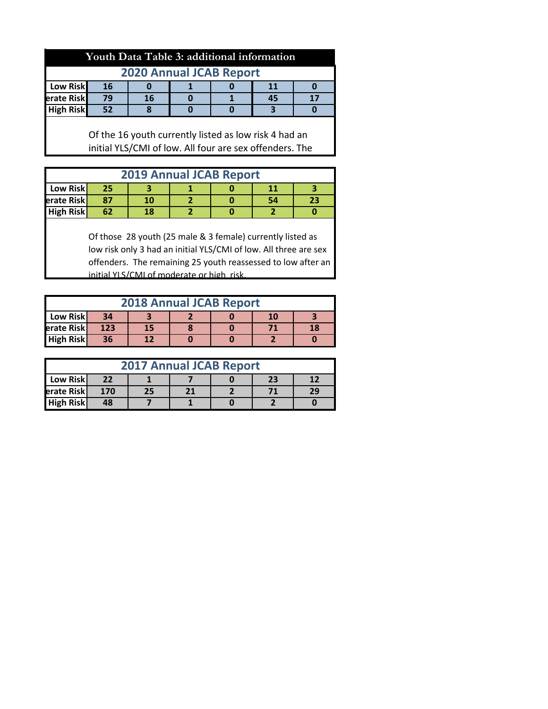### **Youth Data Table 3: additional information**

| <b>2020 Annual JCAB Report</b> |    |    |  |  |  |  |  |  |
|--------------------------------|----|----|--|--|--|--|--|--|
| Low Risk                       | 16 |    |  |  |  |  |  |  |
| erate Risk                     | 79 | 16 |  |  |  |  |  |  |
| <b>High Risk</b>               | 52 |    |  |  |  |  |  |  |

Of the 16 youth currently listed as low risk 4 had an initial YLS/CMI of low. All four are sex offenders. The

| <b>2019 Annual JCAB Report</b> |                              |    |  |  |    |    |  |  |  |
|--------------------------------|------------------------------|----|--|--|----|----|--|--|--|
| Low Risk                       | 25                           |    |  |  |    |    |  |  |  |
| erate Risk                     | 87                           | 10 |  |  | 54 | 23 |  |  |  |
|                                | <b>High Risk</b><br>62<br>18 |    |  |  |    |    |  |  |  |

Of those 28 youth (25 male & 3 female) currently listed as low risk only 3 had an initial YLS/CMI of low. All three are sex offenders. The remaining 25 youth reassessed to low after an initial YLS/CMI of moderate or high risk.

| <b>2018 Annual JCAB Report</b> |                 |    |  |  |  |    |  |  |  |
|--------------------------------|-----------------|----|--|--|--|----|--|--|--|
| Low Risk                       | 34<br><b>10</b> |    |  |  |  |    |  |  |  |
| erate Risk                     | 123             | 15 |  |  |  | 18 |  |  |  |
| <b>High Risk</b>               | 36<br>1 フ       |    |  |  |  |    |  |  |  |

| <b>2017 Annual JCAB Report</b> |          |    |  |  |  |    |  |  |
|--------------------------------|----------|----|--|--|--|----|--|--|
| Low Risk                       | 22<br>23 |    |  |  |  |    |  |  |
| erate Risk                     | 170      | 25 |  |  |  | 29 |  |  |
| <b>High Risk</b>               | 48       |    |  |  |  |    |  |  |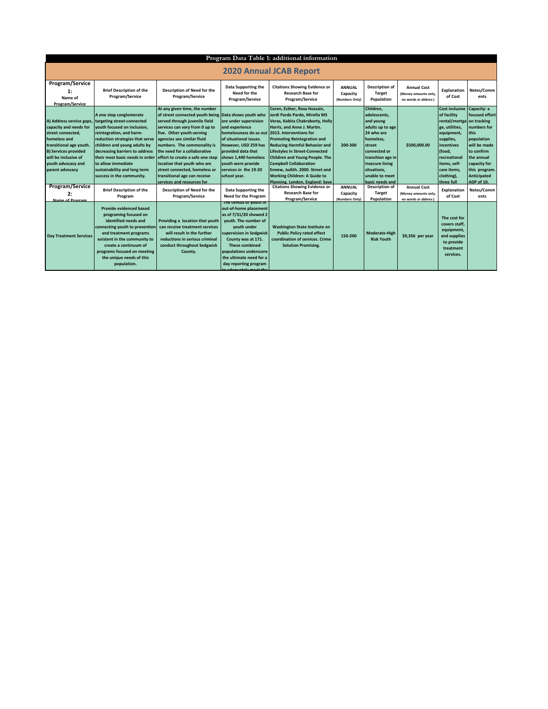|                                                                                                                                                                                                                    | Program Data Table 1: additional information                                                                                                                                                                                                                                                                                                |                                                                                                                                                                                                                                                                                                                                                                                                                                                      |                                                                                                                                                                                                                                                                                                   |                                                                                                                                                                                                                                                                                                                                                                                                                                                                    |                                             |                                                                                                                                                                                                             |                                                                    |                                                                                                                                                                                                                        |                                                                                                                                                                      |
|--------------------------------------------------------------------------------------------------------------------------------------------------------------------------------------------------------------------|---------------------------------------------------------------------------------------------------------------------------------------------------------------------------------------------------------------------------------------------------------------------------------------------------------------------------------------------|------------------------------------------------------------------------------------------------------------------------------------------------------------------------------------------------------------------------------------------------------------------------------------------------------------------------------------------------------------------------------------------------------------------------------------------------------|---------------------------------------------------------------------------------------------------------------------------------------------------------------------------------------------------------------------------------------------------------------------------------------------------|--------------------------------------------------------------------------------------------------------------------------------------------------------------------------------------------------------------------------------------------------------------------------------------------------------------------------------------------------------------------------------------------------------------------------------------------------------------------|---------------------------------------------|-------------------------------------------------------------------------------------------------------------------------------------------------------------------------------------------------------------|--------------------------------------------------------------------|------------------------------------------------------------------------------------------------------------------------------------------------------------------------------------------------------------------------|----------------------------------------------------------------------------------------------------------------------------------------------------------------------|
| <b>2020 Annual JCAB Report</b>                                                                                                                                                                                     |                                                                                                                                                                                                                                                                                                                                             |                                                                                                                                                                                                                                                                                                                                                                                                                                                      |                                                                                                                                                                                                                                                                                                   |                                                                                                                                                                                                                                                                                                                                                                                                                                                                    |                                             |                                                                                                                                                                                                             |                                                                    |                                                                                                                                                                                                                        |                                                                                                                                                                      |
| Program/Service<br>$\mathbf{1}$ :<br>Name of<br>Program/Service                                                                                                                                                    | <b>Brief Description of the</b><br>Program/Service                                                                                                                                                                                                                                                                                          | <b>Description of Need for the</b><br>Program/Service                                                                                                                                                                                                                                                                                                                                                                                                | Data Supporting the<br>Need for the<br>Program/Service                                                                                                                                                                                                                                            | <b>Citations Showing Evidence or</b><br><b>Research Base for</b><br>Program/Service                                                                                                                                                                                                                                                                                                                                                                                | <b>ANNUAL</b><br>Capacity<br>(Numbers Only) | <b>Description of</b><br><b>Target</b><br>Population                                                                                                                                                        | <b>Annual Cost</b><br>(Money amounts only,<br>no words or abbrev.) | Explanation<br>of Cost                                                                                                                                                                                                 | Notes/Comm<br>ents                                                                                                                                                   |
| A) Address service gaps,<br>capacity and needs for<br>street connected,<br>homeless and<br>transitional age youth.<br><b>B) Services provided</b><br>will be inclusive of<br>youth advocacy and<br>parent advocacy | A one stop conglomerate<br>targeting street-connected<br>youth focused on inclusion,<br>reintegration, and harm-<br>reduction strategies that serve<br>children and young adults by<br>decreasing barriers to address<br>their most basic needs in order<br>to allow immediate<br>sustainability and long term<br>success in the community. | At any given time, the number<br>of street connected youth being Data shows youth who<br>served through juvenile field<br>services can vary from 0 up to<br>five. Other youth-serving<br>agencies see similar fluid<br>numbers. The commonality is<br>the need for a collaborative<br>effort to create a safe one stop<br>location that youth who are<br>street connected, homeless or<br>transitional age can receive<br>services and resources for | are under supervision<br>and experience<br>homelessness do so out<br>of situational issues.<br>However, USD 259 has<br>provided data that<br>shows 1,440 homeless<br>youth were provide<br>services in the 19-20<br>school year.                                                                  | Coren, Esther, Rosa Hossain,<br>Jordi Pardo Pardo, Mirella MS<br>Veras, Kabita Chakraborty, Holly<br>Harris, and Anne J. Martin.<br>2013. Interventions for<br><b>Promoting Reintegration and</b><br><b>Reducing Harmful Behavior and</b><br><b>Lifestyles in Street-Connected</b><br>Children and Young People. The<br><b>Campbell Collaboration</b><br>Ennew, Judith. 2000. Street and<br><b>Working Children: A Guide to</b><br>Planning, London, England: Save | 200-300                                     | Children,<br>adolescents.<br>and young<br>adults up to age<br>24 who are<br>homeless.<br>street<br>connected or<br>transition age in<br>insecure living<br>situations.<br>unable to meet<br>basic needs and | \$500,000.00                                                       | Cost inclusive Capacity: a<br>of facility<br>rental/mortga on tracking<br>ge, utilities,<br>equipment,<br>supplies,<br>incentives<br>(food,<br>recreational<br>items, self-<br>care items.<br>clothing),<br>three full | focused effort<br>numbers for<br>this<br>population<br>will be made<br>to confirm<br>the annual<br>capacity for<br>this program.<br><b>Anticipated</b><br>ADP of 10. |
| <b>Program/Service</b><br>2:<br>Name of Program                                                                                                                                                                    | <b>Brief Description of the</b><br>Program                                                                                                                                                                                                                                                                                                  | <b>Description of Need for the</b><br>Program/Service                                                                                                                                                                                                                                                                                                                                                                                                | Data Supporting the<br>Need for the Program                                                                                                                                                                                                                                                       | <b>Citations Showing Evidence or</b><br><b>Research Base for</b><br>Program/Service                                                                                                                                                                                                                                                                                                                                                                                | <b>ANNUAL</b><br>Capacity<br>(Numbers Only) | <b>Description of</b><br><b>Target</b><br>Population                                                                                                                                                        | <b>Annual Cost</b><br>(Money amounts only,<br>no words or abbrev.) | Explanation<br>of Cost                                                                                                                                                                                                 | Notes/Comm<br>ents                                                                                                                                                   |
| <b>Day Treatment Services</b>                                                                                                                                                                                      | Provide evidenced based<br>programing focused on<br>identified needs and<br>connecting youth to prevention<br>and treatment programs<br>existent in the community to<br>create a continuum of<br>programs focused on meeting<br>the unique needs of this<br>population.                                                                     | Providing a location that youth<br>can receive treatment services<br>will result in the further<br>reductions in serious criminal<br>conduct throughout Sedgwick<br>County.                                                                                                                                                                                                                                                                          | The census or youth in<br>out-of-home placement<br>as of 7/31/20 showed 2<br>vouth. The number of<br>vouth under<br>supervision in Sedgwick<br>County was at 171.<br><b>These combined</b><br>populations underscore<br>the ultimate need for a<br>day reporting program<br>o adoguatoly most the | <b>Washington State Institute on</b><br><b>Public Policy rated effect</b><br>coordination of services. Crime<br><b>Solution Promising.</b>                                                                                                                                                                                                                                                                                                                         | 150-200                                     | <b>Moderate-High</b><br><b>Risk Youth</b>                                                                                                                                                                   | \$9,356 per year                                                   | The cost for<br>covers staff.<br>equipment,<br>and supplies<br>to provide<br>treatment<br>services.                                                                                                                    |                                                                                                                                                                      |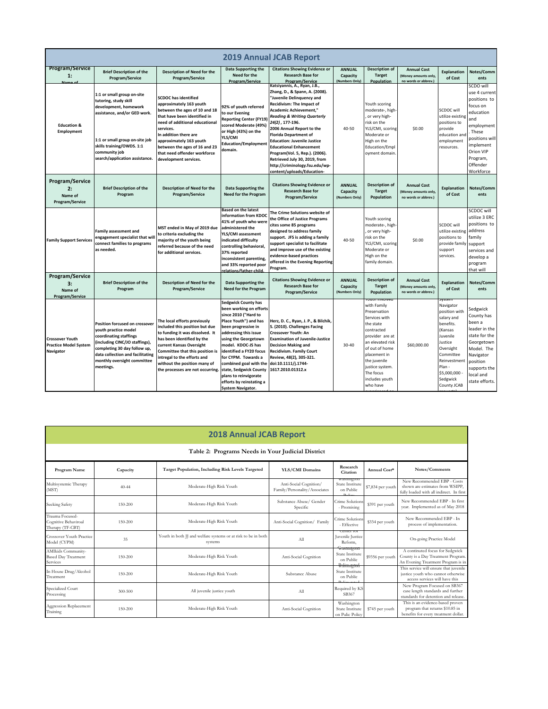|                                                                            | <b>2019 Annual JCAB Report</b>                                                                                                                                                                                                     |                                                                                                                                                                                                                                                                                                                      |                                                                                                                                                                                                                                                                                                                                                                                             |                                                                                                                                                                                                                                                                                                                                                                                                                                                                                         |                                             |                                                                                                                                                                                                                                          |                                                                    |                                                                                                                                                                                               |                                                                                                                                                                                    |
|----------------------------------------------------------------------------|------------------------------------------------------------------------------------------------------------------------------------------------------------------------------------------------------------------------------------|----------------------------------------------------------------------------------------------------------------------------------------------------------------------------------------------------------------------------------------------------------------------------------------------------------------------|---------------------------------------------------------------------------------------------------------------------------------------------------------------------------------------------------------------------------------------------------------------------------------------------------------------------------------------------------------------------------------------------|-----------------------------------------------------------------------------------------------------------------------------------------------------------------------------------------------------------------------------------------------------------------------------------------------------------------------------------------------------------------------------------------------------------------------------------------------------------------------------------------|---------------------------------------------|------------------------------------------------------------------------------------------------------------------------------------------------------------------------------------------------------------------------------------------|--------------------------------------------------------------------|-----------------------------------------------------------------------------------------------------------------------------------------------------------------------------------------------|------------------------------------------------------------------------------------------------------------------------------------------------------------------------------------|
| Program/Service<br>1:                                                      | <b>Brief Description of the</b><br>Program/Service                                                                                                                                                                                 | Description of Need for the<br>Program/Service                                                                                                                                                                                                                                                                       | Data Supporting the<br>Need for the<br>Program/Service                                                                                                                                                                                                                                                                                                                                      | <b>Citations Showing Evidence or</b><br><b>Research Base for</b><br>Program/Service                                                                                                                                                                                                                                                                                                                                                                                                     | <b>ANNUAL</b><br>Capacity<br>(Numbers Only) | <b>Description of</b><br><b>Target</b><br>Population                                                                                                                                                                                     | <b>Annual Cost</b><br>(Money amounts only,<br>no words or abbrev.) | Explanation<br>of Cost                                                                                                                                                                        | Notes/Comm<br>ents                                                                                                                                                                 |
| <b>Education &amp;</b><br><b>Employment</b>                                | 1:1 or small group on-site<br>tutoring, study skill<br>development, homework<br>assistance, and/or GED work.<br>1:1 or small group on-site job<br>skills training/OWDS. 1:1<br>community job<br>search/application assistance.     | <b>SCDOC</b> has identified<br>approximately 163 youth<br>between the ages of 10 and 18<br>that have been identified in<br>need of additional educational<br>services.<br>In addition there are<br>approximately 163 youth<br>between the ages of 16 and 23<br>that need offender workforce<br>development services. | 92% of youth referred<br>to our Evening<br><b>Reporting Center (FY19</b><br>scored Moderate (49%)<br>or High (43%) on the<br>YLS/CMI<br><b>Education/Employmen</b><br>domain.                                                                                                                                                                                                               | Katsiyannis, A., Ryan, J.B.,<br>Zhang, D., & Spann, A. (2008).<br>'Juvenile Delinguency and<br>Recidivism: The Impact of<br>Academic Achievement,"<br><b>Reading &amp; Writing Quarterly</b><br>24(2), 177-196.<br>2006 Annual Report to the<br><b>Florida Department of</b><br><b>Education: Juvenile Justice</b><br><b>Educational Enhancement</b><br>Program(Vol. 5, Rep.). (2006).<br>Retrieved July 30, 2019, from<br>http://criminology.fsu.edu/wp-<br>content/uploads/Education- | 40-50                                       | Youth scoring<br>moderate-, high-<br>or very high-<br>risk on the<br>YLS/CMI, scoring<br>Moderate or<br>High on the<br>Education/Empl<br>oyment domain                                                                                   | \$0.00                                                             | SCDOC will<br>utilize existing<br>positions to<br>provide<br>education ar<br>employment<br>resources.                                                                                         | SCDO will<br>use 4 current<br>positions to<br>focus on<br>education<br>and<br>employment<br>These<br>positions will<br>implement<br>Orion VIP<br>Program,<br>Offender<br>Workforce |
| Program/Service<br>2:<br>Name of<br>Program/Service                        | <b>Brief Description of the</b><br>Program                                                                                                                                                                                         | Description of Need for the<br>Program/Service                                                                                                                                                                                                                                                                       | Data Supporting the<br><b>Need for the Program</b>                                                                                                                                                                                                                                                                                                                                          | <b>Citations Showing Evidence or</b><br><b>Research Base for</b><br>Program/Service                                                                                                                                                                                                                                                                                                                                                                                                     | <b>ANNUAL</b><br>Capacity<br>(Numbers Only) | <b>Description of</b><br><b>Target</b><br>Population                                                                                                                                                                                     | <b>Annual Cost</b><br>(Money amounts only)<br>no words or abbrev.) | Explanation<br>of Cost                                                                                                                                                                        | Notes/Comm<br>ents                                                                                                                                                                 |
| <b>Family Support Services</b>                                             | Family assessment and<br>engagement specialist that wil<br>connect families to programs<br>as needed.                                                                                                                              | MST ended in May of 2019 due<br>to criteria excluding the<br>majority of the youth being<br>referred because of the need<br>for additional services.                                                                                                                                                                 | <b>Based on the latest</b><br>information from KDOC<br>41% of youth who were<br>administered the<br>YLS/CMI assessment<br>indicated difficulty<br>controlling behavioral,<br>37% reported<br>inconsistent parenting,<br>and 33% reported poor<br>relations/father-child                                                                                                                     | The Crime Solutions website of<br>the Office of Justice Programs<br>cites some 85 programs<br>designed to address family<br>support. JFS is adding a family<br>support specialist to facilitate<br>and improve use of the existing<br>evidence-based practices<br>offered in the Evening Reporting<br>Program.                                                                                                                                                                          | 40-50                                       | Youth scoring<br>moderate-, high<br>or very high-<br>risk on the<br>YLS/CMI, scoring<br>Moderate or<br>High on the<br>family domain.                                                                                                     | \$0.00                                                             | SCDOC will<br>utilize existing<br>positions to<br>provide family<br>support<br>services.                                                                                                      | SCDOC will<br>utilize 3 ERC<br>positions to<br>address<br>family<br>support<br>services and<br>develop a<br>program<br>that will                                                   |
| Program/Service<br>3:<br>Name of<br>Program/Service                        | <b>Brief Description of the</b><br>Program                                                                                                                                                                                         | Description of Need for the<br>Program/Service                                                                                                                                                                                                                                                                       | Data Supporting the<br><b>Need for the Program</b>                                                                                                                                                                                                                                                                                                                                          | <b>Citations Showing Evidence or</b><br><b>Research Base for</b><br>Program/Service                                                                                                                                                                                                                                                                                                                                                                                                     | <b>ANNUAL</b><br>Capacity<br>(Numbers Only) | <b>Description of</b><br><b>Target</b><br>Population                                                                                                                                                                                     | <b>Annual Cost</b><br>(Money amounts only)<br>no words or abbrev.) | Explanation<br>of Cost                                                                                                                                                                        | Notes/Comm<br>ents                                                                                                                                                                 |
| <b>Crossover Youth</b><br><b>Practice Model System</b><br><b>Navigator</b> | Position forcused on crossover<br>youth practice model<br>coordinating staffings<br>(including CINC/JO staffings),<br>completing 30 day follow up,<br>data collection and facilitating<br>monthly oversight committee<br>meetings. | The local efforts previously<br>included this position but due<br>to funding it was dissolved. It<br>has been identified by the<br>current Kansas Oversight<br>Committee that this position is<br>intregal to the efforts and<br>without the position many of<br>the processes are not occurring.                    | <b>Sedgwick County has</b><br>been working on efforts<br>since 2010 ("Hard to<br>Place Youth") and has<br>been progressive in<br>addressing this issue<br>using the Georgetown<br>model. KDOC-JS has<br>identified a FY20 focus<br>for CYPM. Towards a<br>combined goal with the<br>state, Sedgwick County<br>plans to reinvigorate<br>efforts by reinstating a<br><b>System Navigator.</b> | Herz, D. C., Ryan, J. P., & Bilchik,<br>S. (2010). Challenges Facing<br><b>Crossover Youth: An</b><br><b>Examination of Juvenile-Justice</b><br><b>Decision Making and</b><br><b>Recidivism. Family Court</b><br>Review, 48(2), 305-321.<br>doi:10.1111/j.1744-<br>1617.2010.01312.x                                                                                                                                                                                                    | $30 - 40$                                   | outnin<br>with Family<br>Preservation<br>Services with<br>the state<br>contracted<br>provider are at<br>an elevated risk<br>of out of home<br>placement in<br>the juvenile<br>justice system.<br>The focus<br>includes youth<br>who have | \$60,000.00                                                        | yster<br>Navigator<br>position with<br>salary and<br>benefits.<br>(Kansas<br>Juvenile<br>Justice<br>Oversight<br>Committee<br>Reinvestmen<br>Plan -<br>\$5,000,000<br>Sedgwick<br>County JCAB | Sedgwick<br>County has<br>been a<br>leader in the<br>state for the<br>Georgetown<br>Model. The<br>Navigator<br>position<br>supports the<br>local and<br>state efforts.             |

| <b>2018 Annual JCAB Report</b>                               |                                                                                                                          |                                                                          |                                                         |                                                      |                   |                                                                                                                |  |  |  |
|--------------------------------------------------------------|--------------------------------------------------------------------------------------------------------------------------|--------------------------------------------------------------------------|---------------------------------------------------------|------------------------------------------------------|-------------------|----------------------------------------------------------------------------------------------------------------|--|--|--|
| Table 2: Programs Needs in Your Judicial District            |                                                                                                                          |                                                                          |                                                         |                                                      |                   |                                                                                                                |  |  |  |
| Program Name                                                 | Research<br>Target Population, Including Risk Levels Targeted<br>YLS/CMI Domains<br>Annual Cost*<br>Capacity<br>Citation |                                                                          |                                                         |                                                      |                   |                                                                                                                |  |  |  |
| Multisystemic Therapy<br>(MST)                               | $40 - 44$                                                                                                                | Moderate-High Risk Youth                                                 | Anti-Social Cognition/<br>Family/Personality/Associates | wasmngton<br>State Institute<br>on Public<br>$n + 1$ | \$7,834 per youth | New Recommended EBP - Costs<br>shown are estimates from WSIPP,<br>fully loaded with all indirect. In first     |  |  |  |
| Seeking Safety                                               | 150-200                                                                                                                  | Moderate-High Risk Youth                                                 | Substance Abuse/ Gender<br>Specific                     | Crime Solutions<br>- Promising                       | \$391 per youth   | New Recommended EBP - In first<br>year. Implemented as of May 2018                                             |  |  |  |
| Trauma Focused-<br>Cognitive Behaviroal<br>Therapy (TF-CBT)  | 150-200                                                                                                                  | Moderate-High Risk Youth                                                 | Anti-Social Cognition/ Family                           | Crime Solutions<br>- Effective                       | \$334 per youth   | New Recommended EBP - In<br>process of implementation.                                                         |  |  |  |
| Crossover Youth Practice<br>Model (CYPM)                     | 35                                                                                                                       | Youth in both JJ and welfare systems or at risk to be in both<br>systems | All                                                     | Center tor<br>Juvenile Justice<br>Reform,            |                   | On-going Practice Model                                                                                        |  |  |  |
| AMIkids Community-<br><b>Based Day Treatment</b><br>Services | 150-200                                                                                                                  | Moderate-High Risk Youth                                                 | Anti-Social Cognition                                   | wasmngton<br>State Institute<br>on Public            | \$9356 per youth  | A continuted focus for Sedgwick<br>County is a Day Treatment Program.<br>An Evening Treatment Program is in    |  |  |  |
| In House Drug/Alcohol<br>Treatment                           | 150-200                                                                                                                  | Moderate-High Risk Youth                                                 | Substance Abuse                                         | Wasmigton<br>State Institute<br>on Public            |                   | This service will ensure that juvenile<br>justice youth who cannot otherwise<br>access services will have this |  |  |  |
| Specialized Court<br>Processing                              | 300-500                                                                                                                  | All juvenile justice youth                                               | All                                                     | Required by KS<br>SB367                              |                   | New Program Focused on SB367<br>case length standards and further<br>standards for detention and release.      |  |  |  |
| Aggression Replacement<br>Training                           | 150-200                                                                                                                  | Moderate-High Risk Youth                                                 | Anti-Social Cognition                                   | Washington<br>State Institute<br>on Pulic Policy     | \$745 per youth   | This is an evidence-based proven<br>program that returns \$10.85 in<br>benefits for every treatment dollar.    |  |  |  |